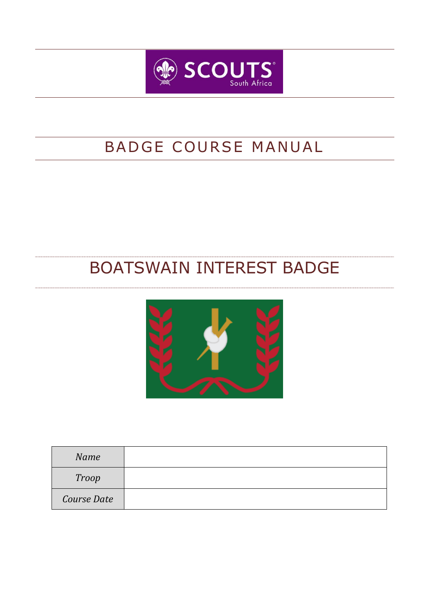

# BADGE COURSE MANUAL

# BOATSWAIN INTEREST BADGE



| Name         |  |
|--------------|--|
| <b>Troop</b> |  |
| Course Date  |  |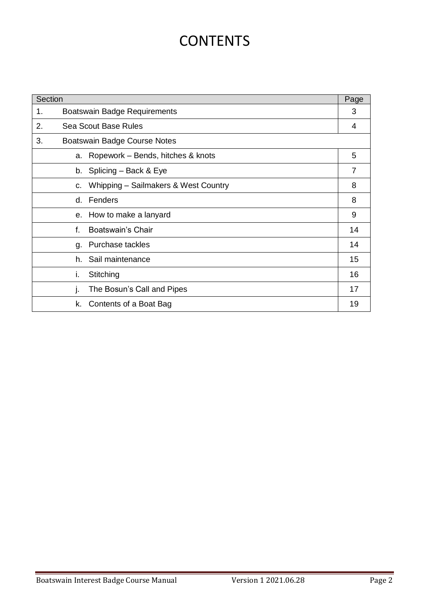# **CONTENTS**

| Section                                   |                              |                                      | Page           |
|-------------------------------------------|------------------------------|--------------------------------------|----------------|
| 1.                                        | Boatswain Badge Requirements |                                      |                |
| 2.<br>Sea Scout Base Rules                |                              |                                      | 4              |
| 3.<br><b>Boatswain Badge Course Notes</b> |                              |                                      |                |
|                                           | a.                           | Ropework - Bends, hitches & knots    | 5              |
|                                           |                              | b. Splicing - Back & Eye             | $\overline{7}$ |
|                                           | C.                           | Whipping - Sailmakers & West Country | 8              |
|                                           | d.                           | Fenders                              | 8              |
|                                           | е.                           | How to make a lanyard                | 9              |
|                                           | f.                           | Boatswain's Chair                    | 14             |
|                                           | g.                           | Purchase tackles                     | 14             |
|                                           | h.                           | Sail maintenance                     | 15             |
|                                           | i.                           | Stitching                            | 16             |
|                                           | J.                           | The Bosun's Call and Pipes           | 17             |
|                                           | k.                           | Contents of a Boat Bag               | 19             |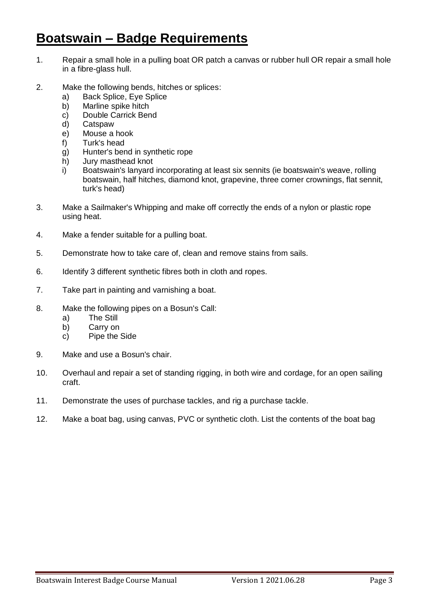# **Boatswain – Badge Requirements**

- 1. Repair a small hole in a pulling boat OR patch a canvas or rubber hull OR repair a small hole in a fibre-glass hull.
- 2. Make the following bends, hitches or splices:
	- a) Back Splice, Eye Splice
	- b) Marline spike hitch
	- c) Double Carrick Bend
	- d) Catspaw
	- e) Mouse a hook
	- f) Turk's head
	- g) Hunter's bend in synthetic rope
	- h) Jury masthead knot
	- i) Boatswain's lanyard incorporating at least six sennits (ie boatswain's weave, rolling boatswain, half hitches, diamond knot, grapevine, three corner crownings, flat sennit, turk's head)
- 3. Make a Sailmaker's Whipping and make off correctly the ends of a nylon or plastic rope using heat.
- 4. Make a fender suitable for a pulling boat.
- 5. Demonstrate how to take care of, clean and remove stains from sails.
- 6. Identify 3 different synthetic fibres both in cloth and ropes.
- 7. Take part in painting and varnishing a boat.
- 8. Make the following pipes on a Bosun's Call:
	- a) The Still
	- b) Carry on
	- c) Pipe the Side
- 9. Make and use a Bosun's chair.
- 10. Overhaul and repair a set of standing rigging, in both wire and cordage, for an open sailing craft.
- 11. Demonstrate the uses of purchase tackles, and rig a purchase tackle.
- 12. Make a boat bag, using canvas, PVC or synthetic cloth. List the contents of the boat bag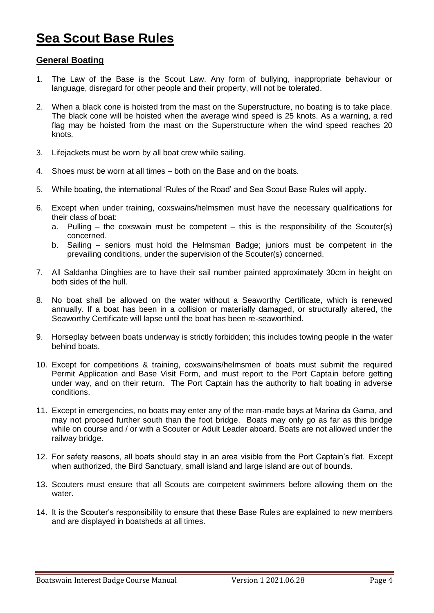# **Sea Scout Base Rules**

### **General Boating**

- 1. The Law of the Base is the Scout Law. Any form of bullying, inappropriate behaviour or language, disregard for other people and their property, will not be tolerated.
- 2. When a black cone is hoisted from the mast on the Superstructure, no boating is to take place. The black cone will be hoisted when the average wind speed is 25 knots. As a warning, a red flag may be hoisted from the mast on the Superstructure when the wind speed reaches 20 knots.
- 3. Lifejackets must be worn by all boat crew while sailing.
- 4. Shoes must be worn at all times both on the Base and on the boats.
- 5. While boating, the international 'Rules of the Road' and Sea Scout Base Rules will apply.
- 6. Except when under training, coxswains/helmsmen must have the necessary qualifications for their class of boat:
	- a. Pulling the coxswain must be competent this is the responsibility of the Scouter(s) concerned.
	- b. Sailing seniors must hold the Helmsman Badge; juniors must be competent in the prevailing conditions, under the supervision of the Scouter(s) concerned.
- 7. All Saldanha Dinghies are to have their sail number painted approximately 30cm in height on both sides of the hull.
- 8. No boat shall be allowed on the water without a Seaworthy Certificate, which is renewed annually. If a boat has been in a collision or materially damaged, or structurally altered, the Seaworthy Certificate will lapse until the boat has been re-seaworthied.
- 9. Horseplay between boats underway is strictly forbidden; this includes towing people in the water behind boats.
- 10. Except for competitions & training, coxswains/helmsmen of boats must submit the required Permit Application and Base Visit Form, and must report to the Port Captain before getting under way, and on their return. The Port Captain has the authority to halt boating in adverse conditions.
- 11. Except in emergencies, no boats may enter any of the man-made bays at Marina da Gama, and may not proceed further south than the foot bridge. Boats may only go as far as this bridge while on course and / or with a Scouter or Adult Leader aboard. Boats are not allowed under the railway bridge.
- 12. For safety reasons, all boats should stay in an area visible from the Port Captain's flat. Except when authorized, the Bird Sanctuary, small island and large island are out of bounds.
- 13. Scouters must ensure that all Scouts are competent swimmers before allowing them on the water
- 14. It is the Scouter's responsibility to ensure that these Base Rules are explained to new members and are displayed in boatsheds at all times.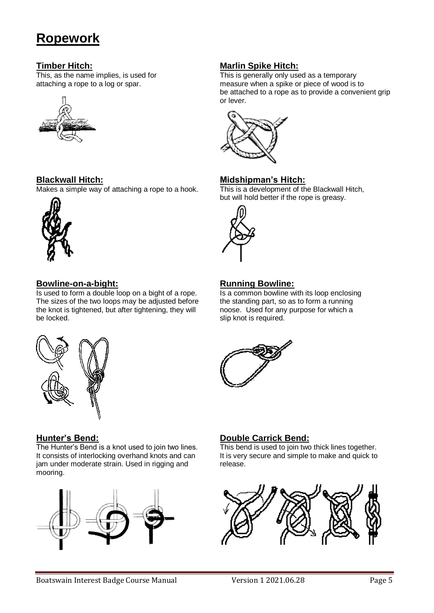# **Ropework**



**Blackwall Hitch: Midshipman's Hitch:**  $\overline{\text{Makes a simple way}}$  of attaching a rope to a hook.



## **Bowline-on-a-bight: Running Bowline: Running Bowline:**

Is used to form a double loop on a bight of a rope. Is a common bowline with its loop enclosing<br>The sizes of the two loops may be adjusted before the standing part, so as to form a running The sizes of the two loops may be adjusted before the knot is tightened, but after tightening, they will noose. Used for any purpose for which a be locked. Slip knot is required.



The Hunter's Bend is a knot used to join two lines. This bend is used to join two thick lines together. It consists of interlocking overhand knots and can It is very secure and simple to make and quick to jam under moderate strain. Used in rigging and release. mooring.



# **Timber Hitch: Marlin Spike Hitch:**

This, as the name implies, is used for This is generally only used as a temporary attaching a rope to a log or spar. measure when a spike or piece of wood is to be attached to a rope as to provide a convenient grip or lever.



but will hold better if the rope is greasy.





# **Hunter's Bend: Double Carrick Bend:**

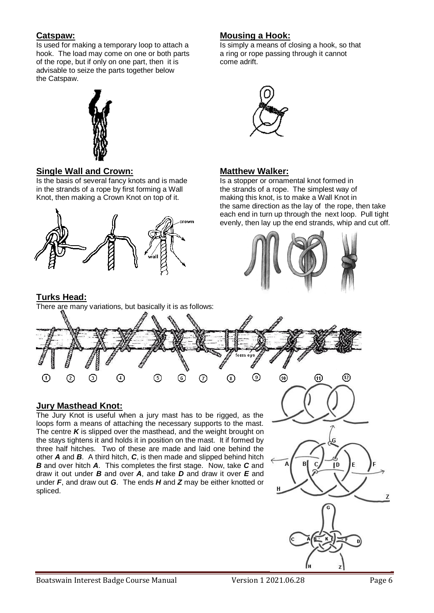Is used for making a temporary loop to attach a Is simply a means of closing a hook, so that hook. The load may come on one or both parts a ring or rope passing through it cannot of the rope, but if only on one part, then it is come adrift. advisable to seize the parts together below the Catspaw.



## **Single Wall and Crown: Matthew Walker:**

Is the basis of several fancy knots and is made<br>in the strands of a rope by first forming a Wall the strands of a rope. The simplest way of in the strands of a rope by first forming a Wall Knot, then making a Crown Knot on top of it. The making this knot, is to make a Wall Knot in



## **Turks Head:**

There are many variations, but basically it is as follows:

# **Catspaw: Mousing a Hook:**



the same direction as the lay of the rope, then take each end in turn up through the next loop. Pull tight evenly, then lay up the end strands, whip and cut off.





# **Jury Masthead Knot:**

The Jury Knot is useful when a jury mast has to be rigged, as the loops form a means of attaching the necessary supports to the mast. The centre *K* is slipped over the masthead, and the weight brought on the stays tightens it and holds it in position on the mast. It if formed by three half hitches. Two of these are made and laid one behind the other *A* and *B*. A third hitch, *C*, is then made and slipped behind hitch *B* and over hitch *A*. This completes the first stage. Now, take *C* and draw it out under *B* and over *A*, and take *D* and draw it over *E* and under *F*, and draw out *G*. The ends *H* and *Z* may be either knotted or spliced.



 $\overline{z}$ 

l D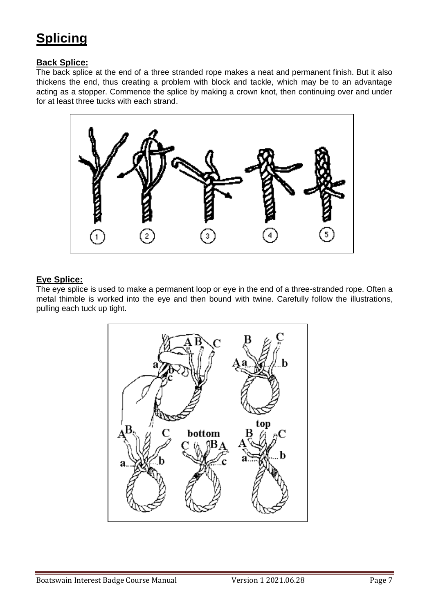# **Splicing**

# **Back Splice:**

The back splice at the end of a three stranded rope makes a neat and permanent finish. But it also thickens the end, thus creating a problem with block and tackle, which may be to an advantage acting as a stopper. Commence the splice by making a crown knot, then continuing over and under for at least three tucks with each strand.



# **Eye Splice:**

The eye splice is used to make a permanent loop or eye in the end of a three-stranded rope. Often a metal thimble is worked into the eye and then bound with twine. Carefully follow the illustrations, pulling each tuck up tight.

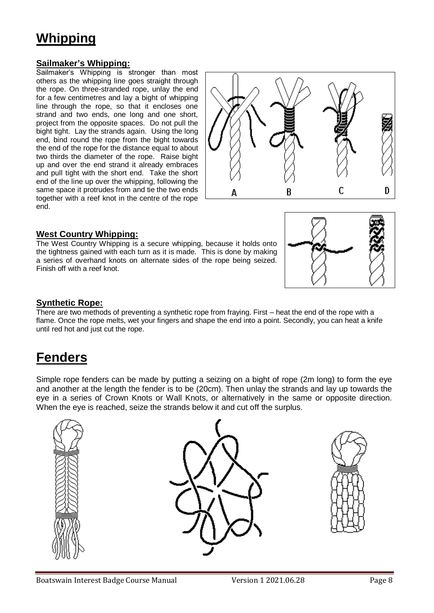# **Whipping**

### **Sailmaker's Whipping:**

Sailmaker's Whipping is stronger than most others as the whipping line goes straight through the rope. On three-stranded rope, unlay the end for a few centimetres and lay a bight of whipping line through the rope, so that it encloses one strand and two ends, one long and one short, project from the opposite spaces. Do not pull the bight tight. Lay the strands again. Using the long end, bind round the rope from the bight towards the end of the rope for the distance equal to about two thirds the diameter of the rope. Raise bight up and over the end strand it already embraces and pull tight with the short end. Take the short end of the line up over the whipping, following the same space it protrudes from and tie the two ends together with a reef knot in the centre of the rope end.



### **West Country Whipping:**

The West Country Whipping is a secure whipping, because it holds onto the tightness gained with each turn as it is made. This is done by making a series of overhand knots on alternate sides of the rope being seized. Finish off with a reef knot.



## **Synthetic Rope:**

There are two methods of preventing a synthetic rope from fraying. First – heat the end of the rope with a flame. Once the rope melts, wet your fingers and shape the end into a point. Secondly, you can heat a knife until red hot and just cut the rope.

# **Fenders**

Simple rope fenders can be made by putting a seizing on a bight of rope (2m long) to form the eye and another at the length the fender is to be (20cm). Then unlay the strands and lay up towards the eye in a series of Crown Knots or Wall Knots, or alternatively in the same or opposite direction. When the eye is reached, seize the strands below it and cut off the surplus.

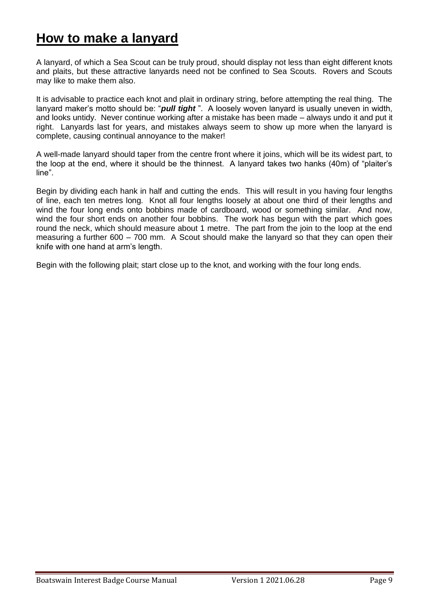# **How to make a lanyard**

A lanyard, of which a Sea Scout can be truly proud, should display not less than eight different knots and plaits, but these attractive lanyards need not be confined to Sea Scouts. Rovers and Scouts may like to make them also.

It is advisable to practice each knot and plait in ordinary string, before attempting the real thing. The lanyard maker's motto should be: "*pull tight* ". A loosely woven lanyard is usually uneven in width, and looks untidy. Never continue working after a mistake has been made – always undo it and put it right. Lanyards last for years, and mistakes always seem to show up more when the lanyard is complete, causing continual annoyance to the maker!

A well-made lanyard should taper from the centre front where it joins, which will be its widest part, to the loop at the end, where it should be the thinnest. A lanyard takes two hanks (40m) of "plaiter's line".

Begin by dividing each hank in half and cutting the ends. This will result in you having four lengths of line, each ten metres long. Knot all four lengths loosely at about one third of their lengths and wind the four long ends onto bobbins made of cardboard, wood or something similar. And now, wind the four short ends on another four bobbins. The work has begun with the part which goes round the neck, which should measure about 1 metre. The part from the join to the loop at the end measuring a further 600 – 700 mm. A Scout should make the lanyard so that they can open their knife with one hand at arm's length.

Begin with the following plait; start close up to the knot, and working with the four long ends.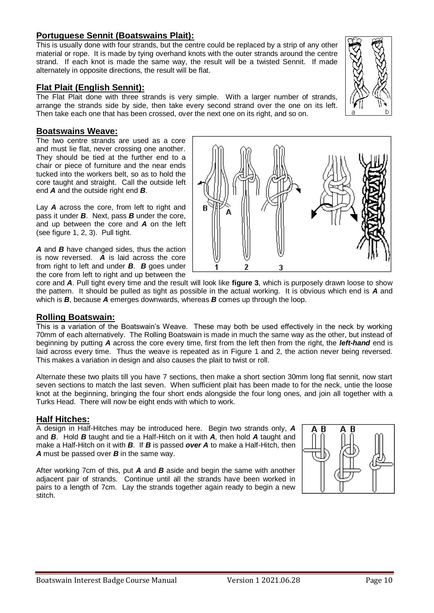# **Portuguese Sennit (Boatswains Plait):**

This is usually done with four strands, but the centre could be replaced by a strip of any other material or rope. It is made by tying overhand knots with the outer strands around the centre strand. If each knot is made the same way, the result will be a twisted Sennit. If made alternately in opposite directions, the result will be flat.

### **Flat Plait (English Sennit):**

The Flat Plait done with three strands is very simple. With a larger number of strands, arrange the strands side by side, then take every second strand over the one on its left. Then take each one that has been crossed, over the next one on its right, and so on.

#### **Boatswains Weave:**

The two centre strands are used as a core and must lie flat, never crossing one another. They should be tied at the further end to a chair or piece of furniture and the near ends tucked into the workers belt, so as to hold the core taught and straight. Call the outside left end *A* and the outside right end *B*.

Lay *A* across the core, from left to right and pass it under *B*. Next, pass *B* under the core, and up between the core and *A* on the left (see figure 1, 2, 3). Pull tight.

*A* and *B* have changed sides, thus the action is now reversed. *A* is laid across the core from right to left and under *B*. *B* goes under the core from left to right and up between the

core and *A*. Pull tight every time and the result will look like **figure 3**, which is purposely drawn loose to show the pattern. It should be pulled as tight as possible in the actual working. It is obvious which end is *A* and which is *B*, because *A* emerges downwards, whereas *B* comes up through the loop.

#### **Rolling Boatswain:**

This is a variation of the Boatswain's Weave. These may both be used effectively in the neck by working 70mm of each alternatively. The Rolling Boatswain is made in much the same way as the other, but instead of beginning by putting *A* across the core every time, first from the left then from the right, the *left-hand* end is laid across every time. Thus the weave is repeated as in Figure 1 and 2, the action never being reversed. This makes a variation in design and also causes the plait to twist or roll.

Alternate these two plaits till you have 7 sections, then make a short section 30mm long flat sennit, now start seven sections to match the last seven. When sufficient plait has been made to for the neck, untie the loose knot at the beginning, bringing the four short ends alongside the four long ones, and join all together with a Turks Head. There will now be eight ends with which to work.

#### **Half Hitches:**

A design in Half-Hitches may be introduced here. Begin two strands only, *A* and *B*. Hold *B* taught and tie a Half-Hitch on it with *A*, then hold *A* taught and make a Half-Hitch on it with *B*. If *B* is passed *over A* to make a Half-Hitch, then *A* must be passed over *B* in the same way.

After working 7cm of this, put *A* and *B* aside and begin the same with another adjacent pair of strands. Continue until all the strands have been worked in pairs to a length of 7cm. Lay the strands together again ready to begin a new stitch.





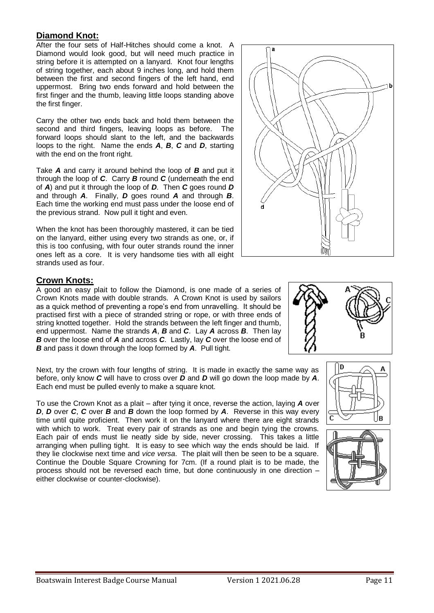## **Diamond Knot:**

After the four sets of Half-Hitches should come a knot. A Diamond would look good, but will need much practice in string before it is attempted on a lanyard. Knot four lengths of string together, each about 9 inches long, and hold them between the first and second fingers of the left hand, end uppermost. Bring two ends forward and hold between the first finger and the thumb, leaving little loops standing above the first finger.

Carry the other two ends back and hold them between the second and third fingers, leaving loops as before. The forward loops should slant to the left, and the backwards loops to the right. Name the ends *A*, *B*, *C* and *D*, starting with the end on the front right.

Take *A* and carry it around behind the loop of *B* and put it through the loop of *C*. Carry *B* round *C* (underneath the end of *A*) and put it through the loop of *D*. Then *C* goes round *D* and through *A*. Finally, *D* goes round *A* and through *B*. Each time the working end must pass under the loose end of the previous strand. Now pull it tight and even.

When the knot has been thoroughly mastered, it can be tied on the lanyard, either using every two strands as one, or, if this is too confusing, with four outer strands round the inner ones left as a core. It is very handsome ties with all eight strands used as four.

## **Crown Knots:**

A good an easy plait to follow the Diamond, is one made of a series of Crown Knots made with double strands. A Crown Knot is used by sailors as a quick method of preventing a rope's end from unravelling. It should be practised first with a piece of stranded string or rope, or with three ends of string knotted together. Hold the strands between the left finger and thumb, end uppermost. Name the strands *A*, *B* and *C*. Lay *A* across *B*. Then lay *B* over the loose end of *A* and across *C*. Lastly, lay *C* over the loose end of *B* and pass it down through the loop formed by *A*. Pull tight.

Next, try the crown with four lengths of string. It is made in exactly the same way as before, only know *C* will have to cross over *D* and *D* will go down the loop made by *A*. Each end must be pulled evenly to make a square knot.

To use the Crown Knot as a plait – after tying it once, reverse the action, laying *A* over *D*, *D* over *C*, *C* over *B* and *B* down the loop formed by *A*. Reverse in this way every time until quite proficient. Then work it on the lanyard where there are eight strands with which to work. Treat every pair of strands as one and begin tying the crowns. Each pair of ends must lie neatly side by side, never crossing. This takes a little arranging when pulling tight. It is easy to see which way the ends should be laid. If they lie clockwise next time and *vice versa*. The plait will then be seen to be a square. Continue the Double Square Crowning for 7cm. (If a round plait is to be made, the process should not be reversed each time, but done continuously in one direction – either clockwise or counter-clockwise).







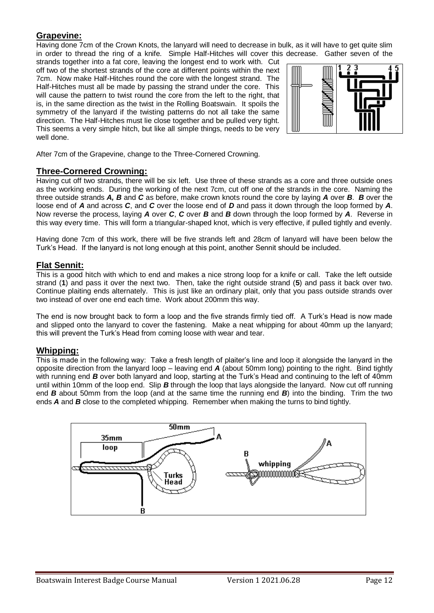### **Grapevine:**

Having done 7cm of the Crown Knots, the lanyard will need to decrease in bulk, as it will have to get quite slim in order to thread the ring of a knife. Simple Half-Hitches will cover this decrease. Gather seven of the

strands together into a fat core, leaving the longest end to work with. Cut off two of the shortest strands of the core at different points within the next 7cm. Now make Half-Hitches round the core with the longest strand. The Half-Hitches must all be made by passing the strand under the core. This will cause the pattern to twist round the core from the left to the right, that is, in the same direction as the twist in the Rolling Boatswain. It spoils the symmetry of the lanyard if the twisting patterns do not all take the same direction. The Half-Hitches must lie close together and be pulled very tight. This seems a very simple hitch, but like all simple things, needs to be very well done.



After 7cm of the Grapevine, change to the Three-Cornered Crowning.

### **Three-Cornered Crowning:**

Having cut off two strands, there will be six left. Use three of these strands as a core and three outside ones as the working ends. During the working of the next 7cm, cut off one of the strands in the core. Naming the three outside strands *A, B* and *C* as before, make crown knots round the core by laying *A* over *B*. *B* over the loose end of *A* and across *C*, and *C* over the loose end of *D* and pass it down through the loop formed by *A*. Now reverse the process, laying *A* over *C*, *C* over *B* and *B* down through the loop formed by *A*. Reverse in this way every time. This will form a triangular-shaped knot, which is very effective, if pulled tightly and evenly.

Having done 7cm of this work, there will be five strands left and 28cm of lanyard will have been below the Turk's Head. If the lanyard is not long enough at this point, another Sennit should be included.

### **Flat Sennit:**

This is a good hitch with which to end and makes a nice strong loop for a knife or call. Take the left outside strand (**1**) and pass it over the next two. Then, take the right outside strand (**5**) and pass it back over two. Continue plaiting ends alternately. This is just like an ordinary plait, only that you pass outside strands over two instead of over one end each time. Work about 200mm this way.

The end is now brought back to form a loop and the five strands firmly tied off. A Turk's Head is now made and slipped onto the lanyard to cover the fastening. Make a neat whipping for about 40mm up the lanyard; this will prevent the Turk's Head from coming loose with wear and tear.

### **Whipping:**

This is made in the following way: Take a fresh length of plaiter's line and loop it alongside the lanyard in the opposite direction from the lanyard loop – leaving end *A* (about 50mm long) pointing to the right. Bind tightly with running end *B* over both lanyard and loop, starting at the Turk's Head and continuing to the left of 40mm until within 10mm of the loop end. Slip *B* through the loop that lays alongside the lanyard. Now cut off running end *B* about 50mm from the loop (and at the same time the running end *B*) into the binding. Trim the two ends *A* and *B* close to the completed whipping. Remember when making the turns to bind tightly.

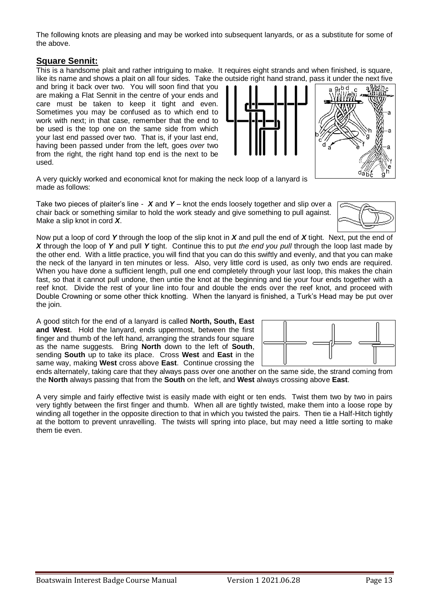The following knots are pleasing and may be worked into subsequent lanyards, or as a substitute for some of the above.

### **Square Sennit:**

This is a handsome plait and rather intriguing to make. It requires eight strands and when finished, is square, like its name and shows a plait on all four sides. Take the outside right hand strand, pass it under the next five

and bring it back over two. You will soon find that you are making a Flat Sennit in the centre of your ends and care must be taken to keep it tight and even. Sometimes you may be confused as to which end to work with next; in that case, remember that the end to be used is the top one on the same side from which your last end passed over two. That is, if your last end, having been passed under from the left, goes *over* two from the right, the right hand top end is the next to be used.

A very quickly worked and economical knot for making the neck loop of a lanyard is made as follows:

Take two pieces of plaiter's line - *X* and *Y* – knot the ends loosely together and slip over a chair back or something similar to hold the work steady and give something to pull against. Make a slip knot in cord *X*.

Now put a loop of cord *Y* through the loop of the slip knot in *X* and pull the end of *X* tight. Next, put the end of *X* through the loop of *Y* and pull *Y* tight. Continue this to put *the end you pull* through the loop last made by the other end. With a little practice, you will find that you can do this swiftly and evenly, and that you can make the neck of the lanyard in ten minutes or less. Also, very little cord is used, as only two ends are required. When you have done a sufficient length, pull one end completely through your last loop, this makes the chain fast, so that it cannot pull undone, then untie the knot at the beginning and tie your four ends together with a reef knot. Divide the rest of your line into four and double the ends over the reef knot, and proceed with Double Crowning or some other thick knotting. When the lanyard is finished, a Turk's Head may be put over the join.

A good stitch for the end of a lanyard is called **North, South, East and West**. Hold the lanyard, ends uppermost, between the first finger and thumb of the left hand, arranging the strands four square as the name suggests. Bring **North** down to the left of **South**, sending **South** up to take its place. Cross **West** and **East** in the same way, making **West** cross above **East**. Continue crossing the

ends alternately, taking care that they always pass over one another on the same side, the strand coming from the **North** always passing that from the **South** on the left, and **West** always crossing above **East**.

A very simple and fairly effective twist is easily made with eight or ten ends. Twist them two by two in pairs very tightly between the first finger and thumb. When all are tightly twisted, make them into a loose rope by winding all together in the opposite direction to that in which you twisted the pairs. Then tie a Half-Hitch tightly at the bottom to prevent unravelling. The twists will spring into place, but may need a little sorting to make them tie even.



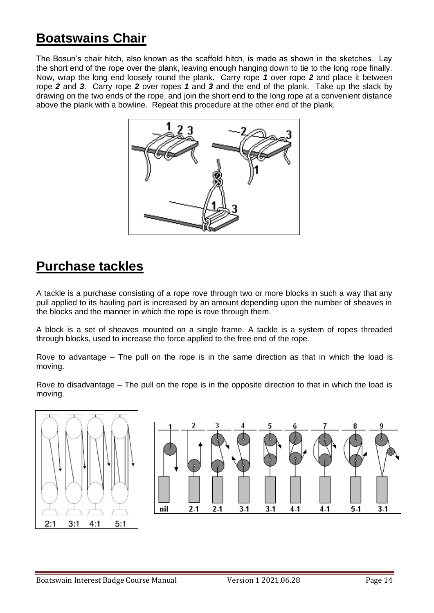# **Boatswains Chair**

The Bosun's chair hitch, also known as the scaffold hitch, is made as shown in the sketches. Lay the short end of the rope over the plank, leaving enough hanging down to tie to the long rope finally. Now, wrap the long end loosely round the plank. Carry rope *1* over rope *2* and place it between rope *2* and *3*. Carry rope *2* over ropes *1* and *3* and the end of the plank. Take up the slack by drawing on the two ends of the rope, and join the short end to the long rope at a convenient distance above the plank with a bowline. Repeat this procedure at the other end of the plank.



# **Purchase tackles**

A tackle is a purchase consisting of a rope rove through two or more blocks in such a way that any pull applied to its hauling part is increased by an amount depending upon the number of sheaves in the blocks and the manner in which the rope is rove through them.

A block is a set of sheaves mounted on a single frame. A tackle is a system of ropes threaded through blocks, used to increase the force applied to the free end of the rope.

Rove to advantage – The pull on the rope is in the same direction as that in which the load is moving.

Rove to disadvantage – The pull on the rope is in the opposite direction to that in which the load is moving.



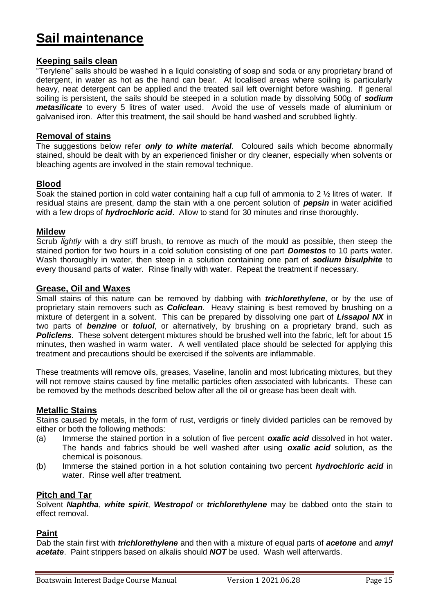# **Sail maintenance**

### **Keeping sails clean**

"Terylene" sails should be washed in a liquid consisting of soap and soda or any proprietary brand of detergent, in water as hot as the hand can bear. At localised areas where soiling is particularly heavy, neat detergent can be applied and the treated sail left overnight before washing. If general soiling is persistent, the sails should be steeped in a solution made by dissolving 500g of *sodium metasilicate* to every 5 litres of water used. Avoid the use of vessels made of aluminium or galvanised iron. After this treatment, the sail should be hand washed and scrubbed lightly.

### **Removal of stains**

The suggestions below refer *only to white material*. Coloured sails which become abnormally stained, should be dealt with by an experienced finisher or dry cleaner, especially when solvents or bleaching agents are involved in the stain removal technique.

### **Blood**

Soak the stained portion in cold water containing half a cup full of ammonia to 2 ½ litres of water. If residual stains are present, damp the stain with a one percent solution of *pepsin* in water acidified with a few drops of *hydrochloric acid*. Allow to stand for 30 minutes and rinse thoroughly.

### **Mildew**

Scrub *lightly* with a dry stiff brush, to remove as much of the mould as possible, then steep the stained portion for two hours in a cold solution consisting of one part *Domestos* to 10 parts water. Wash thoroughly in water, then steep in a solution containing one part of *sodium bisulphite* to every thousand parts of water. Rinse finally with water. Repeat the treatment if necessary.

### **Grease, Oil and Waxes**

Small stains of this nature can be removed by dabbing with *trichlorethylene*, or by the use of proprietary stain removers such as *Coliclean*. Heavy staining is best removed by brushing on a mixture of detergent in a solvent. This can be prepared by dissolving one part of *Lissapol NX* in two parts of *benzine* or *toluol*, or alternatively, by brushing on a proprietary brand, such as *Policlens*. These solvent detergent mixtures should be brushed well into the fabric, left for about 15 minutes, then washed in warm water. A well ventilated place should be selected for applying this treatment and precautions should be exercised if the solvents are inflammable.

These treatments will remove oils, greases, Vaseline, lanolin and most lubricating mixtures, but they will not remove stains caused by fine metallic particles often associated with lubricants. These can be removed by the methods described below after all the oil or grease has been dealt with.

### **Metallic Stains**

Stains caused by metals, in the form of rust, verdigris or finely divided particles can be removed by either or both the following methods:

- (a) Immerse the stained portion in a solution of five percent *oxalic acid* dissolved in hot water. The hands and fabrics should be well washed after using *oxalic acid* solution, as the chemical is poisonous.
- (b) Immerse the stained portion in a hot solution containing two percent *hydrochloric acid* in water. Rinse well after treatment.

### **Pitch and Tar**

Solvent *Naphtha*, *white spirit*, *Westropol* or *trichlorethylene* may be dabbed onto the stain to effect removal.

### **Paint**

Dab the stain first with *trichlorethylene* and then with a mixture of equal parts of *acetone* and *amyl acetate*. Paint strippers based on alkalis should *NOT* be used. Wash well afterwards.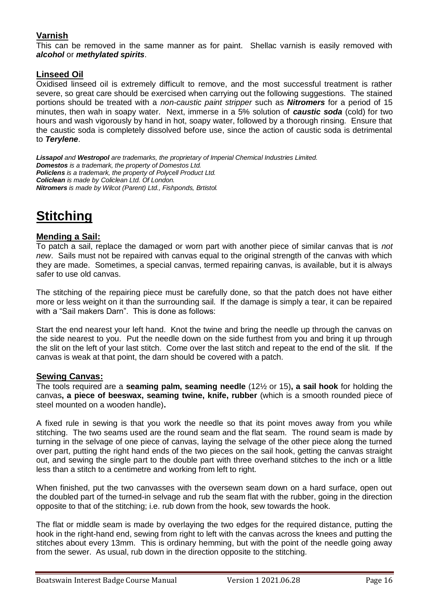# **Varnish**

This can be removed in the same manner as for paint. Shellac varnish is easily removed with *alcohol* or *methylated spirits*.

### **Linseed Oil**

Oxidised linseed oil is extremely difficult to remove, and the most successful treatment is rather severe, so great care should be exercised when carrying out the following suggestions. The stained portions should be treated with a *non-caustic paint stripper* such as *Nitromers* for a period of 15 minutes, then wah in soapy water. Next, immerse in a 5% solution of *caustic soda* (cold) for two hours and wash vigorously by hand in hot, soapy water, followed by a thorough rinsing. Ensure that the caustic soda is completely dissolved before use, since the action of caustic soda is detrimental to *Terylene*.

*Lissapol and Westropol are trademarks, the proprietary of Imperial Chemical Industries Limited. Domestos is a trademark, the property of Domestos Ltd. Policlens is a trademark, the property of Polycell Product Ltd. Coliclean is made by Coliclean Ltd. Of London. Nitromers is made by Wilcot (Parent) Ltd., Fishponds, Brtistol.*

# **Stitching**

## **Mending a Sail:**

To patch a sail, replace the damaged or worn part with another piece of similar canvas that is *not new*. Sails must not be repaired with canvas equal to the original strength of the canvas with which they are made. Sometimes, a special canvas, termed repairing canvas, is available, but it is always safer to use old canvas.

The stitching of the repairing piece must be carefully done, so that the patch does not have either more or less weight on it than the surrounding sail. If the damage is simply a tear, it can be repaired with a "Sail makers Darn". This is done as follows:

Start the end nearest your left hand. Knot the twine and bring the needle up through the canvas on the side nearest to you. Put the needle down on the side furthest from you and bring it up through the slit on the left of your last stitch. Come over the last stitch and repeat to the end of the slit. If the canvas is weak at that point, the darn should be covered with a patch.

### **Sewing Canvas:**

The tools required are a **seaming palm, seaming needle** (12½ or 15)**, a sail hook** for holding the canvas**, a piece of beeswax, seaming twine, knife, rubber** (which is a smooth rounded piece of steel mounted on a wooden handle)**.** 

A fixed rule in sewing is that you work the needle so that its point moves away from you while stitching. The two seams used are the round seam and the flat seam. The round seam is made by turning in the selvage of one piece of canvas, laying the selvage of the other piece along the turned over part, putting the right hand ends of the two pieces on the sail hook, getting the canvas straight out, and sewing the single part to the double part with three overhand stitches to the inch or a little less than a stitch to a centimetre and working from left to right.

When finished, put the two canvasses with the oversewn seam down on a hard surface, open out the doubled part of the turned-in selvage and rub the seam flat with the rubber, going in the direction opposite to that of the stitching; i.e. rub down from the hook, sew towards the hook.

The flat or middle seam is made by overlaying the two edges for the required distance, putting the hook in the right-hand end, sewing from right to left with the canvas across the knees and putting the stitches about every 13mm. This is ordinary hemming, but with the point of the needle going away from the sewer. As usual, rub down in the direction opposite to the stitching.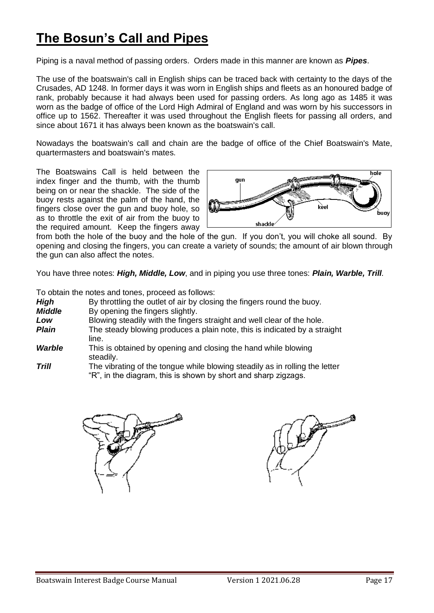# **The Bosun's Call and Pipes**

Piping is a naval method of passing orders. Orders made in this manner are known as *Pipes*.

The use of the boatswain's call in English ships can be traced back with certainty to the days of the Crusades, AD 1248. In former days it was worn in English ships and fleets as an honoured badge of rank, probably because it had always been used for passing orders. As long ago as 1485 it was worn as the badge of office of the Lord High Admiral of England and was worn by his successors in office up to 1562. Thereafter it was used throughout the English fleets for passing all orders, and since about 1671 it has always been known as the boatswain's call.

Nowadays the boatswain's call and chain are the badge of office of the Chief Boatswain's Mate, quartermasters and boatswain's mates.

The Boatswains Call is held between the index finger and the thumb, with the thumb being on or near the shackle. The side of the buoy rests against the palm of the hand, the fingers close over the gun and buoy hole, so as to throttle the exit of air from the buoy to the required amount. Keep the fingers away



from both the hole of the buoy and the hole of the gun. If you don't, you will choke all sound. By opening and closing the fingers, you can create a variety of sounds; the amount of air blown through the gun can also affect the notes.

You have three notes: *High, Middle, Low*, and in piping you use three tones: *Plain, Warble, Trill.*

|               | To obtain the notes and tones, proceed as follows:                                                                                            |  |
|---------------|-----------------------------------------------------------------------------------------------------------------------------------------------|--|
| High          | By throttling the outlet of air by closing the fingers round the buoy.                                                                        |  |
| <b>Middle</b> | By opening the fingers slightly.                                                                                                              |  |
| Low           | Blowing steadily with the fingers straight and well clear of the hole.                                                                        |  |
| <b>Plain</b>  | The steady blowing produces a plain note, this is indicated by a straight<br>line.                                                            |  |
| Warble        | This is obtained by opening and closing the hand while blowing<br>steadily.                                                                   |  |
| Trill         | The vibrating of the tongue while blowing steadily as in rolling the letter<br>"R", in the diagram, this is shown by short and sharp zigzags. |  |



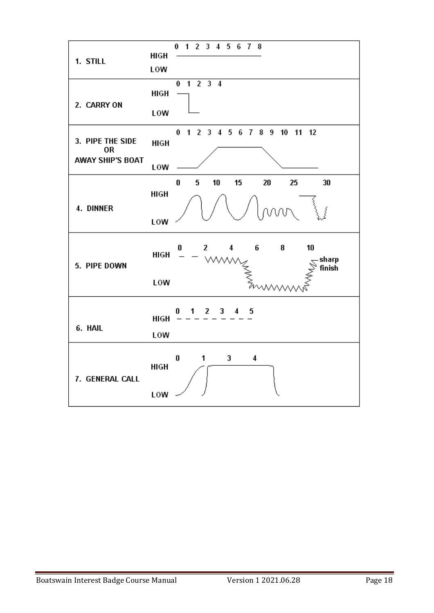| 1. STILL                                                 | HIGH<br>LOW | 0<br>1 2 3 4 5 6 7 8                                                    |
|----------------------------------------------------------|-------------|-------------------------------------------------------------------------|
| 2. CARRY ON                                              | HIGH<br>LOW | 1 2 3 4<br>0                                                            |
| 3. PIPE THE SIDE<br><b>OR</b><br><b>AWAY SHIP'S BOAT</b> | <b>HIGH</b> | 0 1 2 3 4 5 6 7 8 9 10 11 12                                            |
|                                                          | LOW<br>HIGH | $\bf{0}$<br>5<br>10<br>15<br>20<br>25<br>30                             |
| 4. DINNER                                                | LOW         | MW.                                                                     |
| 5. PIPE DOWN                                             | <b>HIGH</b> | 6<br>8<br>10<br>0<br>$\mathbf{2}$<br>4<br>sharp<br><b>WWY</b><br>finish |
|                                                          | LOW         |                                                                         |
| 6. HAIL                                                  | HIGH<br>LOW | $2 \quad 3$<br>5<br>O<br>1.<br>4.                                       |
| 7. GENERAL CALL                                          | <b>HIGH</b> | 1<br>0<br>3<br>$\overline{\bf{4}}$                                      |
|                                                          | LOW         |                                                                         |